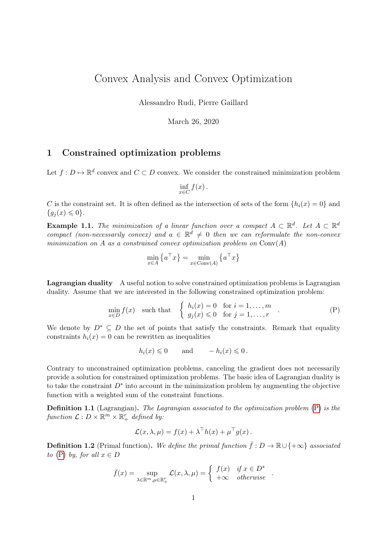# Convex Analysis and Convex Optimization

Alessandro Rudi, Pierre Gaillard

March 26, 2020

## 1 Constrained optimization problems

Let  $f: D \mapsto \mathbb{R}^d$  convex and  $C \subset D$  convex. We consider the constrained minimization problem

$$
\inf_{x \in C} f(x).
$$

C is the constraint set. It is often defined as the intersection of sets of the form  $\{h_i(x) = 0\}$  and  ${q_i(x) \leq 0}.$ 

**Example 1.1.** The minimization of a linear function over a compact  $A \subset \mathbb{R}^d$ . Let  $A \subset \mathbb{R}^d$ compact (non-necessarily convex) and  $a \in \mathbb{R}^d \neq 0$  then we can reformulate the non-convex minimization on A as a constrained convex optimization problem on  $Conv(A)$ 

<span id="page-0-0"></span>
$$
\min_{x \in A} \left\{ a^\top x \right\} = \min_{x \in \text{Conv}(A)} \left\{ a^\top x \right\}
$$

Lagrangian duality A useful notion to solve constrained optimization problems is Lagrangian duality. Assume that we are interested in the following constrained optimization problem:

$$
\min_{x \in D} f(x) \quad \text{such that} \quad \begin{cases} h_i(x) = 0 & \text{for } i = 1, \dots, m \\ g_j(x) \leq 0 & \text{for } j = 1, \dots, r \end{cases} \tag{P}
$$

We denote by  $D^* \subseteq D$  the set of points that satisfy the constraints. Remark that equality constraints  $h_i(x) = 0$  can be rewritten as inequalities

$$
h_i(x) \leq 0 \quad \text{and} \quad -h_i(x) \leq 0.
$$

Contrary to unconstrained optimization problems, canceling the gradient does not necessarily provide a solution for constrained optimization problems. The basic idea of Lagrangian duality is to take the constraint  $D^*$  into account in the minimization problem by augmenting the objective function with a weighted sum of the constraint functions.

**Definition 1.1** (Lagrangian). The Lagrangian associated to the optimization problem  $(P)$  is the function  $\mathcal{L}: D \times \mathbb{R}^m \times \mathbb{R}_+^r$  defined by:

$$
\mathcal{L}(x,\lambda,\mu) = f(x) + \lambda^{\top}h(x) + \mu^{\top}g(x).
$$

**Definition 1.2** (Primal function). We define the primal function  $\bar{f}: D \to \mathbb{R} \cup \{+\infty\}$  associated to [\(P\)](#page-0-0) by, for all  $x \in D$ 

$$
\bar{f}(x) = \sup_{\lambda \in \mathbb{R}^m, \mu \in \mathbb{R}_+^n} \mathcal{L}(x, \lambda, \mu) = \begin{cases} f(x) & \text{if } x \in D^* \\ +\infty & \text{otherwise} \end{cases}.
$$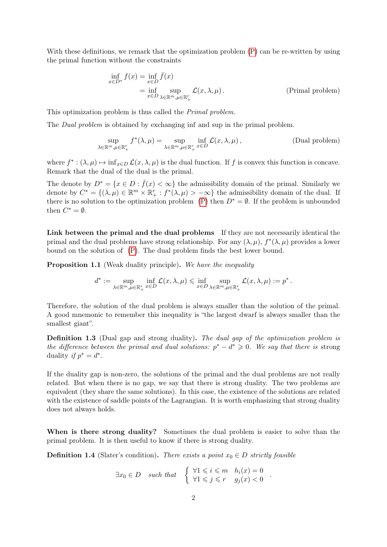With these definitions, we remark that the optimization problem  $(P)$  can be re-written by using the primal function without the constraints

$$
\inf_{x \in D^*} f(x) = \inf_{x \in D} \bar{f}(x)
$$
  
= 
$$
\inf_{x \in D} \sup_{\lambda \in \mathbb{R}^m, \mu \in \mathbb{R}_+^r} \mathcal{L}(x, \lambda, \mu).
$$
 (Primal problem)

This optimization problem is thus called the Primal problem.

The *Dual problem* is obtained by exchanging inf and sup in the primal problem.

$$
\sup_{\lambda \in \mathbb{R}^m, \mu \in \mathbb{R}_+^r} f^*(\lambda, \mu) = \sup_{\lambda \in \mathbb{R}^m, \mu \in \mathbb{R}_+^r} \inf_{x \in D} \mathcal{L}(x, \lambda, \mu),
$$
 (Dual problem)

where  $f^*: (\lambda, \mu) \mapsto \inf_{x \in D} \mathcal{L}(x, \lambda, \mu)$  is the dual function. If f is convex this function is concave. Remark that the dual of the dual is the primal.

The denote by  $D^* = \{x \in D : \bar{f}(x) < \infty\}$  the admissibility domain of the primal. Similarly we denote by  $C^* = \{(\lambda, \mu) \in \mathbb{R}^m \times \mathbb{R}_+^r : f^*(\lambda, \mu) > -\infty\}$  the admissibility domain of the dual. If there is no solution to the optimization problem [\(P\)](#page-0-0) then  $D^* = \emptyset$ . If the problem is unbounded then  $C^* = \emptyset$ .

Link between the primal and the dual problems If they are not necessarily identical the primal and the dual problems have strong relationship. For any  $(\lambda, \mu)$ ,  $f^*(\lambda, \mu)$  provides a lower bound on the solution of [\(P\)](#page-0-0). The dual problem finds the best lower bound.

**Proposition 1.1** (Weak duality principle). We have the inequality

$$
d^*:=\sup_{\lambda\in\mathbb{R}^m,\mu\in\mathbb{R}_+^r}\inf_{x\in D}\mathcal{L}(x,\lambda,\mu)\leqslant\inf_{x\in D}\sup_{\lambda\in\mathbb{R}^m,\mu\in\mathbb{R}_+^r}\mathcal{L}(x,\lambda,\mu):=p^*\,.
$$

Therefore, the solution of the dual problem is always smaller than the solution of the primal. A good mnemonic to remember this inequality is "the largest dwarf is always smaller than the smallest giant".

Definition 1.3 (Dual gap and strong duality). The dual gap of the optimization problem is the difference between the primal and dual solutions:  $p^* - d^* \geq 0$ . We say that there is strong duality if  $p^* = d^*$ .

If the duality gap is non-zero, the solutions of the primal and the dual problems are not really related. But when there is no gap, we say that there is strong duality. The two problems are equivalent (they share the same solutions). In this case, the existence of the solutions are related with the existence of saddle points of the Lagrangian. It is worth emphasizing that strong duality does not always holds.

When is there strong duality? Sometimes the dual problem is easier to solve than the primal problem. It is then useful to know if there is strong duality.

**Definition 1.4** (Slater's condition). There exists a point  $x_0 \in D$  strictly feasible

 $\exists x_0 \in D$  such that  $\left\{ \begin{array}{ll} \forall 1 \leq i \leq m & h_i(x) = 0 \\ \forall 1 \leq i \leq m, & g_i(x) \leq 0 \end{array} \right.$  $\forall 1 \leqslant i \leqslant m$   $n_i(x) = 0$ <br> $\forall 1 \leqslant j \leqslant r$   $g_j(x) < 0$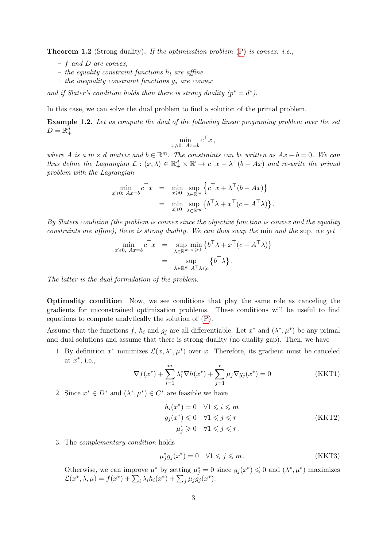<span id="page-2-0"></span>**Theorem 1.2** (Strong duality). If the optimization problem  $(P)$  is convex: i.e.,

- $f$  and D are convex,
- the equality constraint functions  $h_i$  are affine
- the inequality constraint functions  $g_j$  are convex

and if Slater's condition holds than there is strong duality  $(p^* = d^*)$ .

In this case, we can solve the dual problem to find a solution of the primal problem.

Example 1.2. Let us compute the dual of the following linear programing problem over the set  $D=\mathbb{R}^d_+$ 

$$
\min_{x \geqslant 0: Ax = b} c^{\top} x \,,
$$

where A is a  $m \times d$  matrix and  $b \in \mathbb{R}^m$ . The constraints can be written as  $Ax - b = 0$ . We can thus define the Lagrangian  $\mathcal{L}: (x, \lambda) \in \mathbb{R}_+^d \times \mathbb{R} \to c^\top x + \lambda^\top (b - Ax)$  and re-write the primal problem with the Lagrangian

$$
\min_{x \geqslant 0: \ Ax = b} c^{\top} x = \min_{x \geqslant 0} \sup_{\lambda \in \mathbb{R}^m} \left\{ c^{\top} x + \lambda^{\top} (b - Ax) \right\} \n= \min_{x \geqslant 0} \sup_{\lambda \in \mathbb{R}^m} \left\{ b^{\top} \lambda + x^{\top} (c - A^{\top} \lambda) \right\}.
$$

By Slaters condition (the problem is convex since the objective function is convex and the equality constraints are affine), there is strong duality. We can thus swap the min and the sup, we get

$$
\min_{x \geqslant 0, \ Ax = b} c^{\top} x = \sup_{\lambda \in \mathbb{R}^m} \min_{x \geqslant 0} \left\{ b^{\top} \lambda + x^{\top} (c - A^{\top} \lambda) \right\}
$$
\n
$$
= \sup_{\lambda \in \mathbb{R}^m : A^{\top} \lambda \leqslant c} \left\{ b^{\top} \lambda \right\}.
$$

The latter is the dual formulation of the problem.

Optimality condition Now, we see conditions that play the same role as canceling the gradients for unconstrained optimization problems. These conditions will be useful to find equations to compute analytically the solution of [\(P\)](#page-0-0).

Assume that the functions f,  $h_i$  and  $g_j$  are all differentiable. Let  $x^*$  and  $(\lambda^*, \mu^*)$  be any primal and dual solutions and assume that there is strong duality (no duality gap). Then, we have

1. By definition  $x^*$  minimizes  $\mathcal{L}(x, \lambda^*, \mu^*)$  over x. Therefore, its gradient must be canceled at  $x^*$ , i.e.,

$$
\nabla f(x^*) + \sum_{i=1}^m \lambda_i^* \nabla h(x^*) + \sum_{j=1}^r \mu_j \nabla g_j(x^*) = 0
$$
 (KKT1)

2. Since  $x^* \in D^*$  and  $(\lambda^*, \mu^*) \in C^*$  are feasible we have

$$
h_i(x^*) = 0 \quad \forall 1 \leq i \leq m
$$
  
\n
$$
g_j(x^*) \leq 0 \quad \forall 1 \leq j \leq r
$$
  
\n
$$
\mu_j^* \geq 0 \quad \forall 1 \leq j \leq r.
$$
  
\n(KKT2)

3. The complementary condition holds

$$
\mu_j^* g_j(x^*) = 0 \quad \forall 1 \leqslant j \leqslant m \,. \tag{KKT3}
$$

Otherwise, we can improve  $\mu^*$  by setting  $\mu_j^* = 0$  since  $g_j(x^*) \leq 0$  and  $(\lambda^*, \mu^*)$  maximizes  $\mathcal{L}(x^*,\lambda,\mu) = f(x^*) + \sum_i \lambda_i h_i(x^*) + \sum_j \mu_j g_j(x^*).$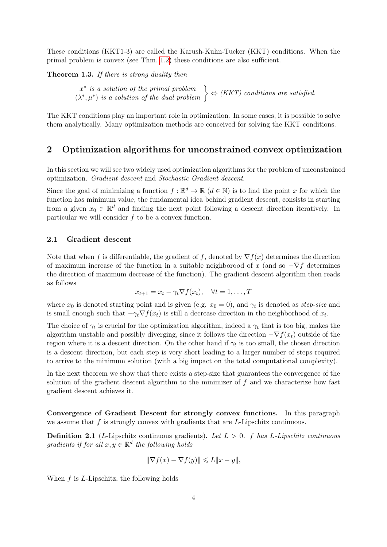These conditions (KKT1-3) are called the Karush-Kuhn-Tucker (KKT) conditions. When the primal problem is convex (see Thm. [1.2\)](#page-2-0) these conditions are also sufficient.

Theorem 1.3. If there is strong duality then

x ∗ is a solution of the primal problem  $x^*$  is a solution of the primal problem  $(\lambda^*, \mu^*)$  is a solution of the dual problem  $\left\{ \begin{array}{c} \Leftrightarrow (KKT) \text{ conditions are satisfied.} \end{array} \right\}$ 

The KKT conditions play an important role in optimization. In some cases, it is possible to solve them analytically. Many optimization methods are conceived for solving the KKT conditions.

### 2 Optimization algorithms for unconstrained convex optimization

In this section we will see two widely used optimization algorithms for the problem of unconstrained optimization. Gradient descent and Stochastic Gradient descent.

Since the goal of minimizing a function  $f : \mathbb{R}^d \to \mathbb{R}$   $(d \in \mathbb{N})$  is to find the point x for which the function has minimum value, the fundamental idea behind gradient descent, consists in starting from a given  $x_0 \in \mathbb{R}^d$  and finding the next point following a descent direction iteratively. In particular we will consider f to be a convex function.

#### 2.1 Gradient descent

Note that when f is differentiable, the gradient of f, denoted by  $\nabla f(x)$  determines the direction of maximum increase of the function in a suitable neighborood of x (and so  $-\nabla f$  determines the direction of maximum decrease of the function). The gradient descent algorithm then reads as follows

$$
x_{t+1} = x_t - \gamma_t \nabla f(x_t), \quad \forall t = 1, \dots, T
$$

where  $x_0$  is denoted starting point and is given (e.g.  $x_0 = 0$ ), and  $\gamma_t$  is denoted as *step-size* and is small enough such that  $-\gamma_t \nabla f(x_t)$  is still a decrease direction in the neighborhood of  $x_t$ .

The choice of  $\gamma_t$  is crucial for the optimization algorithm, indeed a  $\gamma_t$  that is too big, makes the algorithm unstable and possibly diverging, since it follows the direction  $-\nabla f(x_t)$  outside of the region where it is a descent direction. On the other hand if  $\gamma_t$  is too small, the chosen direction is a descent direction, but each step is very short leading to a larger number of steps required to arrive to the minimum solution (with a big impact on the total computational complexity).

In the next theorem we show that there exists a step-size that guarantees the convergence of the solution of the gradient descent algorithm to the minimizer of  $f$  and we characterize how fast gradient descent achieves it.

Convergence of Gradient Descent for strongly convex functions. In this paragraph we assume that  $f$  is strongly convex with gradients that are  $L$ -Lipschitz continuous.

**Definition 2.1** (L-Lipschitz continuous gradients). Let  $L > 0$ . f has L-Lipschitz continuous gradients if for all  $x, y \in \mathbb{R}^d$  the following holds

$$
\|\nabla f(x) - \nabla f(y)\| \leq L\|x - y\|,
$$

When  $f$  is  $L$ -Lipschitz, the following holds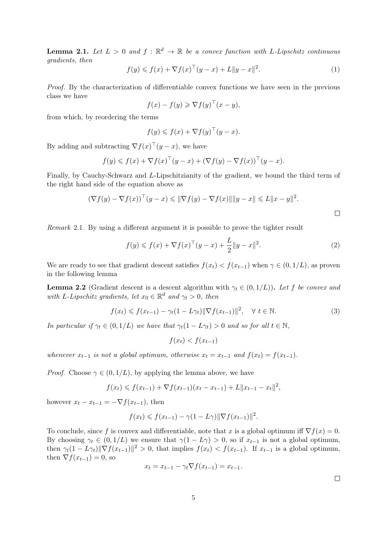**Lemma 2.1.** Let  $L > 0$  and  $f : \mathbb{R}^d \to \mathbb{R}$  be a convex function with L-Lipschitz continuous gradients, then

$$
f(y) \le f(x) + \nabla f(x)^\top (y - x) + L \|y - x\|^2.
$$
 (1)

Proof. By the characterization of differentiable convex functions we have seen in the previous class we have

$$
f(x) - f(y) \geqslant \nabla f(y)^\top (x - y),
$$

from which, by reordering the terms

$$
f(y) \leqslant f(x) + \nabla f(y)^\top (y - x).
$$

By adding and subtracting  $\nabla f(x)^\top (y-x)$ , we have

$$
f(y) \leqslant f(x) + \nabla f(x)^\top (y - x) + (\nabla f(y) - \nabla f(x))^\top (y - x).
$$

Finally, by Cauchy-Schwarz and L-Lipschitzianity of the gradient, we bound the third term of the right hand side of the equation above as

$$
(\nabla f(y) - \nabla f(x))^\top (y - x) \leq \|\nabla f(y) - \nabla f(x)\| \|y - x\| \leq L \|x - y\|^2.
$$

Remark 2.1. By using a different argument it is possible to prove the tighter result

<span id="page-4-1"></span>
$$
f(y) \leq f(x) + \nabla f(x)^\top (y - x) + \frac{L}{2} \|y - x\|^2.
$$
 (2)

We are ready to see that gradient descent satisfies  $f(x_t) < f(x_{t-1})$  when  $\gamma \in (0, 1/L)$ , as proven in the following lemma

**Lemma 2.2** (Gradient descent is a descent algorithm with  $\gamma_t \in (0, 1/L)$ ). Let f be convex and with L-Lipschitz gradients, let  $x_0 \in \mathbb{R}^d$  and  $\gamma_t > 0$ , then

<span id="page-4-0"></span>
$$
f(x_t) \leqslant f(x_{t-1}) - \gamma_t (1 - L\gamma_t) \|\nabla f(x_{t-1})\|^2, \quad \forall \ t \in \mathbb{N}.
$$
 (3)

In particular if  $\gamma_t \in (0, 1/L)$  we have that  $\gamma_t(1 - L\gamma_t) > 0$  and so for all  $t \in \mathbb{N}$ ,

$$
f(x_t) < f(x_{t-1})
$$

whenever  $x_{t-1}$  is not a global optimum, otherwise  $x_t = x_{t-1}$  and  $f(x_t) = f(x_{t-1})$ .

*Proof.* Choose  $\gamma \in (0, 1/L)$ , by applying the lemma above, we have

$$
f(x_t) \leq f(x_{t-1}) + \nabla f(x_{t-1})(x_t - x_{t-1}) + L||x_{t-1} - x_t||^2,
$$

however  $x_t - x_{t-1} = -\nabla f(x_{t-1}),$  then

$$
f(x_t) \leqslant f(x_{t-1}) - \gamma (1 - L\gamma) \|\nabla f(x_{t-1})\|^2.
$$

To conclude, since f is convex and differentiable, note that x is a global optimum iff  $\nabla f(x) = 0$ . By choosing  $\gamma_t \in (0, 1/L)$  we ensure that  $\gamma(1 - L\gamma) > 0$ , so if  $x_{t-1}$  is not a global optimum, then  $\gamma_t(1 - L\gamma_t)\|\nabla f(x_{t-1})\|^2 > 0$ , that implies  $f(x_t) < f(x_{t-1})$ . If  $x_{t-1}$  is a global optimum, then  $\nabla f(x_{t-1}) = 0$ , so

$$
x_t = x_{t-1} - \gamma_t \nabla f(x_{t-1}) = x_{t-1}.
$$

 $\Box$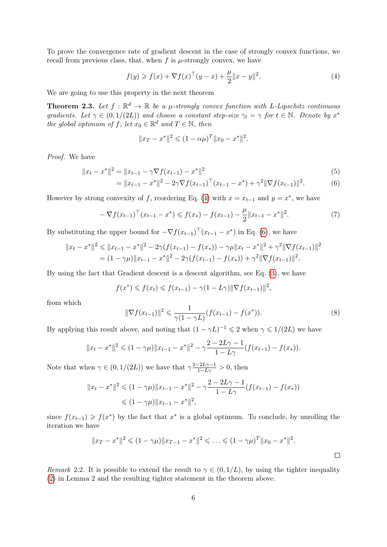To prove the convergence rate of gradient descent in the case of strongly convex functions, we recall from previous class, that, when  $f$  is  $\mu$ -strongly convex, we have

<span id="page-5-0"></span>
$$
f(y) \ge f(x) + \nabla f(x)^\top (y - x) + \frac{\mu}{2} \|x - y\|^2.
$$
 (4)

We are going to use this property in the next theorem

**Theorem 2.3.** Let  $f : \mathbb{R}^d \to \mathbb{R}$  be a  $\mu$ -strongly convex function with L-Lipschitz continuous gradients. Let  $\gamma \in (0, 1/(2L))$  and choose a constant step-size  $\gamma_t = \gamma$  for  $t \in \mathbb{N}$ . Denote by  $x^*$ the global optimum of f, let  $x_0 \in \mathbb{R}^d$  and  $T \in \mathbb{N}$ , then

<span id="page-5-1"></span>
$$
||x_T - x^*||^2 \leq (1 - \alpha \mu)^T ||x_0 - x^*||^2.
$$

Proof. We have

$$
||x_t - x^*||^2 = ||x_{t-1} - \gamma \nabla f(x_{t-1}) - x^*||^2
$$
\n(5)

$$
= \|x_{t-1} - x^*\|^2 - 2\gamma \nabla f(x_{t-1})^\top (x_{t-1} - x^*) + \gamma^2 \|\nabla f(x_{t-1})\|^2. \tag{6}
$$

However by strong convexity of f, reordering Eq. [\(4\)](#page-5-0) with  $x = x_{t-1}$  and  $y = x^*$ , we have

<span id="page-5-2"></span>
$$
-\nabla f(x_{t-1})^\top (x_{t-1} - x^*) \leqslant f(x_*) - f(x_{t-1}) - \frac{\mu}{2} \|x_{t-1} - x^*\|^2. \tag{7}
$$

By substituting the upper bound for  $-\nabla f(x_{t-1})^\top (x_{t-1} - x^*)$  in Eq. [\(6\)](#page-5-1), we have

$$
||x_t - x^*||^2 \le ||x_{t-1} - x^*||^2 - 2\gamma(f(x_{t-1}) - f(x_*)) - \gamma\mu||x_t - x^*||^2 + \gamma^2||\nabla f(x_{t-1})||^2
$$
  
=  $(1 - \gamma\mu)||x_{t-1} - x^*||^2 - 2\gamma(f(x_{t-1}) - f(x_*)) + \gamma^2||\nabla f(x_{t-1})||^2$ .

By using the fact that Gradient descent is a descent algorithm, see Eq. [\(3\)](#page-4-0), we have

$$
f(x^*) \leq f(x_t) \leq f(x_{t-1}) - \gamma (1 - L\gamma) ||\nabla f(x_{t-1})||^2
$$
,

from which

<span id="page-5-3"></span>
$$
\|\nabla f(x_{t-1})\|^2 \leq \frac{1}{\gamma(1-\gamma L)} (f(x_{t-1}) - f(x^*)).\tag{8}
$$

By applying this result above, and noting that  $(1 - \gamma L)^{-1} \leq 2$  when  $\gamma \leq 1/(2L)$  we have

$$
||x_t - x^*||^2 \leq (1 - \gamma \mu) ||x_{t-1} - x^*||^2 - \gamma \frac{2 - 2L\gamma - 1}{1 - L\gamma} (f(x_{t-1}) - f(x_*)).
$$

Note that when  $\gamma \in (0, 1/(2L))$  we have that  $\gamma \frac{2-2L\gamma-1}{1-L\gamma} > 0$ , then

$$
||x_t - x^*||^2 \le (1 - \gamma \mu) ||x_{t-1} - x^*||^2 - \gamma \frac{2 - 2L\gamma - 1}{1 - L\gamma} (f(x_{t-1}) - f(x_*))
$$
  

$$
\le (1 - \gamma \mu) ||x_{t-1} - x^*||^2,
$$

since  $f(x_{t-1}) \geqslant f(x^*)$  by the fact that  $x^*$  is a global optimum. To conclude, by unrolling the iteration we have

$$
||x_T - x^*||^2 \leq (1 - \gamma \mu) ||x_{T-1} - x^*||^2 \leq \dots \leq (1 - \gamma \mu)^T ||x_0 - x^*||^2.
$$

Remark 2.2. It is possible to extend the result to  $\gamma \in (0, 1/L)$ , by using the tighter inequality [\(2\)](#page-4-1) in Lemma 2 and the resulting tighter statement in the theorem above.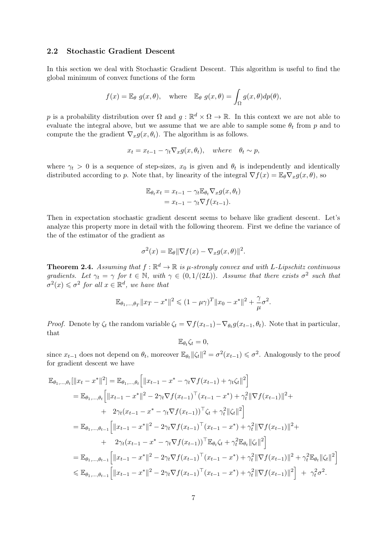#### 2.2 Stochastic Gradient Descent

In this section we deal with Stochastic Gradient Descent. This algorithm is useful to find the global minimum of convex functions of the form

$$
f(x) = \mathbb{E}_{\theta} g(x, \theta)
$$
, where  $\mathbb{E}_{\theta} g(x, \theta) = \int_{\Omega} g(x, \theta) dp(\theta)$ ,

p is a probability distribution over  $\Omega$  and  $g : \mathbb{R}^d \times \Omega \to \mathbb{R}$ . In this context we are not able to evaluate the integral above, but we assume that we are able to sample some  $\theta_t$  from p and to compute the the gradient  $\nabla_x g(x, \theta_i)$ . The algorithm is as follows.

$$
x_t = x_{t-1} - \gamma_t \nabla_x g(x, \theta_t), \quad where \quad \theta_t \sim p,
$$

where  $\gamma_t > 0$  is a sequence of step-sizes,  $x_0$  is given and  $\theta_t$  is independently and identically distributed according to p. Note that, by linearity of the integral  $\nabla f(x) = \mathbb{E}_{\theta} \nabla_x q(x, \theta)$ , so

$$
\mathbb{E}_{\theta_t} x_t = x_{t-1} - \gamma_t \mathbb{E}_{\theta_t} \nabla_x g(x, \theta_t)
$$
  
=  $x_{t-1} - \gamma_t \nabla f(x_{t-1}).$ 

Then in expectation stochastic gradient descent seems to behave like gradient descent. Let's analyze this property more in detail with the following theorem. First we define the variance of the of the estimator of the gradient as

$$
\sigma^{2}(x) = \mathbb{E}_{\theta} \|\nabla f(x) - \nabla_{x} g(x, \theta)\|^{2}.
$$

**Theorem 2.4.** Assuming that  $f : \mathbb{R}^d \to \mathbb{R}$  is  $\mu$ -strongly convex and with L-Lipschitz continuous gradients. Let  $\gamma_t = \gamma$  for  $t \in \mathbb{N}$ , with  $\gamma \in (0, 1/(2L))$ . Assume that there exists  $\sigma^2$  such that  $\sigma^2(x) \leq \sigma^2$  for all  $x \in \mathbb{R}^d$ , we have that

$$
\mathbb{E}_{\theta_1,\dots,\theta_T} \|x_T - x^*\|^2 \leq (1 - \mu \gamma)^T \|x_0 - x^*\|^2 + \frac{\gamma}{\mu} \sigma^2.
$$

*Proof.* Denote by  $\zeta_t$  the random variable  $\zeta_t = \nabla f(x_{t-1}) - \nabla_{\theta_t} g(x_{t-1}, \theta_t)$ . Note that in particular, that

$$
\mathbb{E}_{\theta_t} \zeta_t = 0,
$$

since  $x_{t-1}$  does not depend on  $\theta_t$ , moreover  $\mathbb{E}_{\theta_t} ||\zeta_t||^2 = \sigma^2(x_{t-1}) \leq \sigma^2$ . Analogously to the proof for gradient descent we have

$$
\mathbb{E}_{\theta_1,\dots,\theta_t}[\|x_t - x^*\|^2] = \mathbb{E}_{\theta_1,\dots,\theta_t} \Big[ \|x_{t-1} - x^* - \gamma_t \nabla f(x_{t-1}) + \gamma_t \zeta_t \|^2 \Big] \n= \mathbb{E}_{\theta_1,\dots,\theta_t} \Big[ \|x_{t-1} - x^*\|^2 - 2\gamma_t \nabla f(x_{t-1})^\top (x_{t-1} - x^*) + \gamma_t^2 \|\nabla f(x_{t-1})\|^2 + \n+ 2\gamma_t (x_{t-1} - x^* - \gamma_t \nabla f(x_{t-1}))^\top \zeta_t + \gamma_t^2 \|\zeta_t\|^2 \Big] \n= \mathbb{E}_{\theta_1,\dots,\theta_{t-1}} \Big[ \|x_{t-1} - x^*\|^2 - 2\gamma_t \nabla f(x_{t-1})^\top (x_{t-1} - x^*) + \gamma_t^2 \|\nabla f(x_{t-1})\|^2 + \n+ 2\gamma_t (x_{t-1} - x^* - \gamma_t \nabla f(x_{t-1}))^\top \mathbb{E}_{\theta_t} \zeta_t + \gamma_t^2 \mathbb{E}_{\theta_t} \|\zeta_t\|^2 \Big] \n= \mathbb{E}_{\theta_1,\dots,\theta_{t-1}} \Big[ \|x_{t-1} - x^*\|^2 - 2\gamma_t \nabla f(x_{t-1})^\top (x_{t-1} - x^*) + \gamma_t^2 \|\nabla f(x_{t-1})\|^2 + \gamma_t^2 \mathbb{E}_{\theta_t} \|\zeta_t\|^2 \Big] \n\leq \mathbb{E}_{\theta_1,\dots,\theta_{t-1}} \Big[ \|x_{t-1} - x^*\|^2 - 2\gamma_t \nabla f(x_{t-1})^\top (x_{t-1} - x^*) + \gamma_t^2 \|\nabla f(x_{t-1})\|^2 \Big] + \gamma_t^2 \sigma^2.
$$